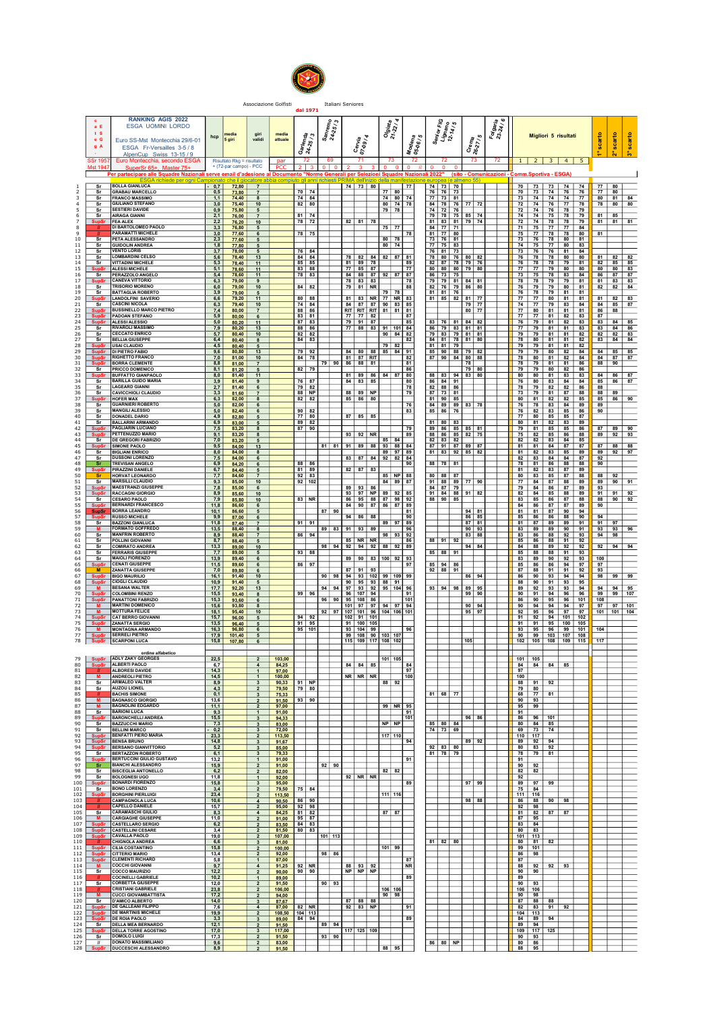

Associazione Golfisti international Seniores<br>**dal 1971** 

| c<br>a E<br>t S<br>e G<br>g A                      |              | <b>RANKING AGIS 2022</b><br>ESGA UOMINI LORDO<br>Euro SS-Mst Montecchia 29/6-01<br>ESGA Fr-Versailles 3-5 / 8 | hcp                  | 5 giri                                                                               | gir<br>validi                                               |                   | media<br>attuale          | $\frac{r_{6n_{d_3}}}{25/3}$<br>હૈ ર્જ્ | $\frac{S_{\text{a}_{n}}}{24.25/3}$ |    | Cervia<br>07-09 / 4                                           | Olgiata<br>21-22/4 |                                   | Modena<br>05-06 / 5 | Senior FiG<br>Lignano<br>12-14 / 5   | Crem <sub>a</sub><br>26-27 / 5              | Forgania |           |                                                         | Migliori 5 risultati |               |                                                                          | scarto                        | scarto   | scarto             |  |  |
|----------------------------------------------------|--------------|---------------------------------------------------------------------------------------------------------------|----------------------|--------------------------------------------------------------------------------------|-------------------------------------------------------------|-------------------|---------------------------|----------------------------------------|------------------------------------|----|---------------------------------------------------------------|--------------------|-----------------------------------|---------------------|--------------------------------------|---------------------------------------------|----------|-----------|---------------------------------------------------------|----------------------|---------------|--------------------------------------------------------------------------|-------------------------------|----------|--------------------|--|--|
| <b>SSr 195</b><br>Mst 194                          |              | AlnenCun Swiss 13-15 / 9<br>Euro Montecchia, secondo ESGA<br>SuperSr 65+. Master 75+<br>∽er partecipare a     |                      | Risultato Rkg = risultato<br>+ (72-par campo) - PCC<br>serve email d'adesione al Doc |                                                             | par<br><b>PCC</b> |                           | 72<br>≅NOrm                            | -69<br>$01$ 0                      |    | 71                                                            | 73                 |                                   | 72<br>$\Omega$      | 72<br>$\Omega$                       | 73                                          | 72       |           | nm.Sportiva - ESGA)                                     |                      |               | $1 \mid 2 \mid 3 \mid 4 \mid 5$                                          |                               |          | ŏ.                 |  |  |
| Sr<br>Sr                                           |              | <b>BOLLA GIANLUCA</b><br><b>GRABAU MARCELLO</b>                                                               | 0,7<br>0,5           | inato che il gio<br>72,80<br>73.80                                                   | atore ah:<br>$\overline{7}$<br>$\overline{7}$               |                   |                           | 70 74                                  |                                    |    | $74$ 73 80                                                    | 77 80              |                                   | 177                 | 74 73 70<br>76 76 73                 |                                             |          |           | 70 73 74 76                                             |                      |               | 70   73   73   74   74<br>76                                             | 77 80<br>77 80                |          |                    |  |  |
| Sr<br>Sr<br>Sr                                     |              | <b>FRANCO MASSIMO</b><br><b>GIULIANO STEFANO</b><br><b>SESTIERI DAVIDE</b>                                    | 1.1<br>3.0<br>0,9    | 74,40<br>75,40<br>75,80                                                              | 8<br>10<br>5                                                |                   |                           | 74 84<br>82 80                         |                                    |    |                                                               | 79 78              | $74$ 80 $74$<br>80   74   78      |                     | 77 73 81<br>74 72 76                 | 84   78   76   77   72                      |          | 72        | 72 74 76 77<br>74                                       | 76                   | $ 78\rangle$  | 73 74 74 74 77<br>78<br>79                                               | 80 81<br>78 80                |          | 84<br>80           |  |  |
| sr<br>SunSi                                        |              | <b>AIRAGA GIANNI</b><br><b>FEA ALEX</b><br>DI BARTOLOMEO PAOLO                                                | 2,1<br>2,2<br>3,3    | 76.00<br>76.20<br>76,80                                                              | $\overline{7}$<br>10<br>5                                   |                   |                           | $81$ 74<br>78 72                       |                                    |    | 82   81   78                                                  | 75 77              |                                   |                     | 84 77 71                             | 79 78 75 85 74<br>81 83 81 79 74            |          |           | 71 75 77 77                                             |                      |               | 74 74 75 78 79<br>72 74 78 78 79<br>84                                   | $81$ 85<br>$81$ $81$          |          | 81                 |  |  |
| 10<br>Sr<br>Sr                                     |              | PARAMATTI MICHELE<br>PETA ALESSANDRO<br><b>GUIDOLIN ANDREA</b>                                                | 3,0<br>2,3<br>1.8    | 77,60<br>77,60<br>77,80                                                              | 6<br>5<br>5                                                 |                   |                           | 78 75                                  |                                    |    |                                                               |                    | 80 78<br>80   74                  | 78                  | 81 77 80<br>73 76 81<br>77 75 83     |                                             |          |           |                                                         |                      |               | 75 77 78 78 80<br>73 76 78 80 81<br>74 75 77 80 83                       | 81                            |          |                    |  |  |
| 12<br>Sr<br>13<br>s <sub>r</sub><br>sr             |              | <b>VENTO LORIS</b><br><b>LOMBARDINI CELSO</b><br><b>VITTADINI MICHELE</b>                                     | 3,7<br>5,6<br>5,3    | 78,00<br>78,40<br>78,40                                                              | 5<br>13<br>11                                               |                   |                           | 76 84<br>$84$ $84$<br>$85$ 85          |                                    |    | 78 82<br>84<br>81 89 78                                       |                    | 82 87                             | 89                  | 76 81 73<br>78 80 76                 | $80$ 82<br>82 87 78 79 76                   |          |           | 76 78                                                   | 78                   | 80            | 73 76 76 81 84<br>80<br>76 78 78 79 81                                   | 81<br>82                      | 82<br>85 | 82<br>85           |  |  |
| 15<br><b>SupS</b><br>Sr<br>17<br><b>SupSr</b>      |              | <b>ALESSI MICHELE</b><br><b>PERAZZOLO ANGELO</b><br><b>CANEVA VITTORIO</b>                                    | 5,1<br>5,4<br>6.3    | 78,60<br>78,60<br>79.00                                                              | 11<br>11<br>9                                               |                   |                           | 83 88<br>78 83                         |                                    |    | 77 85 87<br>84 88 87<br>78 83 83                              |                    | 92 87 87<br><b>178</b>            | 77                  | 86 73 75                             | 80 80 80 79 80<br>79 79 81 84 81            |          | 73        | 77 77 79 80<br>75                                       |                      | 78 83         | 80<br>84<br>78 78 79 79 81                                               | 80<br>86<br>81 83             | 80<br>87 | 83<br>87<br>83     |  |  |
| 18<br>Sr<br>19<br>Sr<br>20<br><b>SupSr</b>         |              | <b>TRISORIO MORENO</b><br><b>BATTAGLIA ROBERTO</b><br><b>LANDOLFINI SAVERIO</b>                               | 6,0<br>3,9<br>6, 6   | 79,00<br>79,00<br>79,20                                                              | 10<br>5<br>11                                               |                   |                           | $84$   $82$<br>80 88                   |                                    |    | 79 81 NR<br>81 83 NR 77 NR 83                                 | 79 78              |                                   | <b>88</b>           | $81$ $81$ $76$                       | 82   76   79   86   80<br>81 85 82 81 77    |          |           | 76 78                                                   |                      | 79 81         | 76   79   79   80   81<br>81<br>77 77 80 81 81                           | 82   82                       |          | 84<br>81 82 83     |  |  |
| 21<br>Sr<br>23<br><b>SupSr</b>                     |              | <b>CASCINI NICOLA</b><br><b>BUSSINELLO MARCO PIETRO</b><br><b>PADOAN STEFANO</b>                              | 6.3<br>7,4<br>5,9    | 79,40<br>80,00<br>80,00                                                              | 10<br>$\overline{7}$<br>6                                   |                   |                           | 74 84<br>88 86<br>83 81                |                                    |    | 84 87 87 90 83 85<br>RIT RIT RIT 81   81   81<br>77 77 82     |                    |                                   | I 87                |                                      | 79 77<br>80 77                              |          |           | 74 77 79 83                                             |                      |               | 84<br>77   80   81   81   81<br>77 77 81 82 83                           | $84$ 85<br>86   88<br>87      |          | 87                 |  |  |
| 24<br>- Sr<br>26<br>Sr                             |              | SupSr ALESSI ALESSIO<br><b>RIVAROLI MASSIMO</b><br><b>CECCATO ENRICO</b>                                      | 5,0<br>7.9<br>5,7    | 80.20<br>80.20<br>80,40                                                              | 11<br>13<br>10                                              |                   |                           | 87   83<br>88 86<br>82 82              |                                    |    | 79 91 87<br>77 88 83                                          |                    | 91 101 84<br>$90 \mid 84 \mid 82$ | 85                  | 83 76 81                             | $84$ 82<br>86 79 83 81 81<br>79 83 79 81 81 |          |           | 76 79 81 82<br>79 79 81 81                              |                      |               | 83<br>$77$   $79$   $81$   $81$   $83$<br>82                             | 83   84  <br>83 84<br>82   82 |          | 85<br>-86<br>83    |  |  |
| 27<br>Sr<br>28<br><b>SupSr</b><br>29               |              | <b>BELLIA GIUSEPPE</b><br><b>USAI CLAUDIO</b><br><b>DI PIETRO FABIO</b>                                       | 6,4<br>4.5<br>9,6    | 80,40<br>80,40<br>80,80                                                              | 8<br>5<br>13                                                |                   |                           | 84 83<br>79 92                         |                                    |    | 84 80 88 85 84 91                                             |                    | $79$ 82                           | 82                  | $81$ 81 79                           | 84 81 78 81 80<br>85   90   88   79   82    |          |           | 78 80                                                   |                      | 81 81         | 82<br>79 79 81 81 82<br>79 79 80 82 84                                   | 83 84<br>$84$ 85              |          | 84<br>85           |  |  |
| 30<br>31<br><b>SupSr</b>                           |              | <b>RIGHETTO FRANCO</b><br><b>BORRA CLEMENTE</b><br><b>PRICCO DOMENICO</b>                                     | 7,0<br>8.8           | 81,00<br>81.00                                                                       | 10<br>$\overline{7}$                                        |                   |                           | $84$ 78                                |                                    |    | $81$ 87 RIT<br>79 90 86 88 81                                 |                    |                                   | 82<br>81            |                                      | 87 90 84 80 88<br><b>78</b>                 |          | 78        |                                                         |                      | $81 \quad 82$ | 84<br>78 79 81 81 86                                                     | $84$ 87<br>88 90              |          | 87                 |  |  |
| Sr<br>33<br>34<br>Sr<br>35                         |              | <b>BUFFATTO GIANPAOLO</b><br><b>BARILLA GUIDO MARIA</b>                                                       | 8,1<br>8,0<br>3,9    | 81.20<br>81,40<br>81,40                                                              | 5<br>11<br>9                                                |                   |                           | 82 79<br>76 87                         |                                    |    | 81 89 86<br>$84$ 83 85                                        |                    | 84 87 80                          | 86<br>80            | 86 84 91                             | 79 80<br>88 83 94 83 80                     |          |           | 79 79 80 82<br>80 80 81 83                              |                      |               | 86<br>83<br>76 80 83 84 84                                               | 84 86<br>85 86                |          | 87<br>87           |  |  |
| Sr<br>Sr<br>36<br>37<br><b>SupS</b>                |              | <b>LAGEARD GIANNI</b><br><b>CAVICCHIOLI CLAUDIO</b><br><b>HOFER MAX</b>                                       | 2,7<br>3.3<br>6,3    | 81,40<br>81,60<br>82,00                                                              | 6<br>$\overline{7}$<br>8                                    |                   |                           | 79 82<br>88   NP<br>82 82              |                                    |    | $88$ $89$ NP<br>85 86 80                                      |                    |                                   | 78<br>79            | 82 88 86<br>87   73   81<br>81 90 85 |                                             |          |           | 78 79 82 82<br>80 81 82 82                              |                      |               | 86<br>73 79 81 87 88<br>85                                               | 88<br>88 89<br>85 86          |          | 90                 |  |  |
| 38<br>s <sub>r</sub><br>39<br>Sr<br>Sr             |              | <b>GUARNIERI ROBERTO</b><br><b>MANGILI ALESSIO</b><br><b>DONADEL DARIO</b>                                    | 5,0<br>5,0<br>4,9    | 82.00<br>82,40<br>82,80                                                              | 6<br>6<br>5                                                 |                   |                           | $90$ 82<br>77 80                       |                                    |    | 87 85 85                                                      |                    |                                   | 76<br>83            | 84 89 89<br>85 86 76                 | 83 78                                       |          | 76        | 78<br>76 82 83 85                                       |                      | 83 84         | 89<br>86<br>77 80 85 85 87                                               | 89<br>90                      |          |                    |  |  |
| Sr<br>SupSr                                        |              | <b>BALLARINI ARMANDO</b><br><b>PAGLIARIN LUCIANO</b><br><b>PETTENUZZO MARIO</b>                               | 6,9<br>7,5<br>9,1    | 83,00<br>83,20<br>83,20                                                              | 5<br>8<br>8                                                 |                   |                           | 89 82<br>$87$ 90                       |                                    |    | 93 92 NR                                                      |                    |                                   | 79<br>89            | 81 80 83                             | 89 86 85 85 81<br>88 86 85 82 75            |          | 80        | 81 82 83                                                |                      |               | 89<br>79 81 85 85 86<br>75   82   85   86   88                           | 87 89<br>89 92                |          | 90<br>93           |  |  |
| 44<br>Sr<br><b>SupSr</b><br>46<br>Sr               |              | <b>DE GREGORI FABRIZIO</b><br><b>SIMONE PAOLO</b><br><b>BIGLIANI ENRICO</b>                                   | 7,0<br>9,5<br>8,0    | 83,20<br>84.00<br>84.00                                                              | 5<br>13<br>8                                                |                   |                           |                                        | $81$ $81$                          |    | 91 89 88 93 88 84                                             |                    | 85 84<br>89 97 89                 |                     | $82$ $83$ $82$                       | 87 91 87 89 87<br>81   83   92   85   82    |          | 82        | 82<br>81 82 83 85                                       |                      | 83 84         | 85<br>81 81 84 87 87<br>89                                               | $87$ 88<br>$89$ $92$          |          | 88<br>97           |  |  |
| Sr<br>Sr<br>49<br><b>SupS</b>                      |              | <b>DUSSONI LORENZO</b><br><b>TREVISAN ANGELO</b><br><b>PIRAZZINI DANIELE</b>                                  | 7,5<br>6,9<br>6,7    | 84,00<br>84.20<br>84.40                                                              | 6<br>6<br>5                                                 |                   |                           | 88 86<br>81 89                         |                                    |    | 83 87 84 92 82 84<br>$82$ 87 83                               |                    |                                   | 90                  | 88 78 81                             |                                             |          |           | 82 83 84 84<br>78 81 86 88<br>81 82 83 87               |                      |               | 87<br>88<br>89                                                           | 92<br>90                      |          |                    |  |  |
| -Sr<br>Sr<br>52                                    |              | <b>HORVAT LEONARDO</b><br><b>MARSILLI CLAUDIO</b><br><b>MAESTRANZI GIUSEPPE</b>                               | 7,7<br>9,3<br>7,8    | 84,60<br>85,00<br>85.00                                                              | $\overline{7}$<br>10<br>6                                   |                   |                           | $92$   83<br>$92$ 102                  |                                    | 89 | 93<br>86                                                      |                    | 85 NP 88<br>84 89 87              |                     | $80$ 88 87<br>84 87 79               | 91 88 89 77 90                              |          | 79        | 80   83   85   87  <br>77 84 87 88<br>84                |                      | 86 87         | 88<br>89<br>89                                                           | 88 92<br>89 90<br>93          |          | 91                 |  |  |
| 53<br>54<br>Sr<br>55                               |              | <b>RACCAGNI GIORGIO</b><br><b>CESARO PAOLO</b><br><b>BERNARDI FRANCESCO</b>                                   | 8,9<br>7,9<br>11,8   | 85,60<br>85,80<br>86,60                                                              | 10<br>10<br>6                                               |                   |                           | 83 NR                                  |                                    |    | 93 97 NP<br>86 95 88 87 98 92<br>84 90 87 86 87 89            |                    | 89 92 85                          |                     | $91$ 84 88<br>88 90 85               | $91$ 82                                     |          | 84        | 82 84 85 88<br>83 85 86 87<br>86                        | 87                   | 87            | 89<br>88<br>89                                                           | $91$ 91<br>88 90<br>90        |          | 92<br>92           |  |  |
| 56<br><b>SupSr</b><br>57<br>58<br>Sr               |              | <b>BORRA LEANDRO</b><br><b>SupSr RUSSO MICHELE</b><br><b>BAZZONI GIANLUCA</b>                                 | 10.1<br>9,9<br>11,8  | 86.60<br>87,00<br>87,40                                                              | 5<br>6<br>$\overline{7}$                                    |                   |                           | $91$   $91$                            | $87$ 90                            |    | 94 86 88                                                      |                    | I 81<br>89 97 89                  | l 90                |                                      | $94$ 81<br>86 85<br>$87$ 81                 |          |           | 81 81 87 90<br>85   86   86   88  <br>81   87   89   89 |                      |               | 94<br>90<br>91                                                           | 94<br>$91$ 97                 |          |                    |  |  |
| 59<br>M.<br>60<br>Sr<br>sr                         |              | <b>FORMATO GOFFREDO</b><br><b>MANFRIN ROBERTO</b><br><b>POLLINI GIOVANNI</b>                                  | 13,5<br>8.9<br>8.7   | 88.40<br>88,40                                                                       | 8<br>$\overline{7}$                                         |                   |                           | 86 94                                  |                                    |    | 89 83 91 93 89<br>$85$ NR NR                                  |                    | 98 93 92<br>186                   |                     | $88$ 91 92                           | 90   93<br>83 88                            |          | 83        | 86 88 92                                                |                      |               | 83 89 89 90 91<br>93<br>85   86   88   91   92                           | 93 93<br>$94$ 98              |          | 96                 |  |  |
| 62<br>sr<br>63<br>Sr                               |              | <b>COMIRATO ANDREA</b><br><b>FERRARIS GIUSEPPE</b>                                                            | 13,3<br>7,7          | 88,40<br>89,00<br>89.00                                                              | 5<br>10<br>5                                                |                   |                           | 93 88                                  | 98 94                              |    | $92$ 94 92                                                    |                    | 88 92 89                          |                     | 85 88 91                             | $94$ 84                                     |          |           | $85$ 88                                                 |                      | 88 91         | 84 88 89 92 92<br>93                                                     | 92                            | 94       | 94                 |  |  |
| Sr<br>65<br>66                                     |              | <b>MAIOLI FIORENZO</b><br><b>CENATI GIUSEPPE</b><br><b>ZANATTA GIUSEPPE</b>                                   | 13.9<br>11,5<br>7,0  | 89.40<br>89,60<br>89,80                                                              | 6<br>$6\overline{6}$<br>6                                   |                   |                           | 86 97                                  |                                    |    | 89 90 83 100 92 93<br>87 91 93                                |                    |                                   | 97                  | 85 94 86<br>$92$ 88 91               |                                             |          | 87        | 83   89   90   92  <br>88                               |                      | $91$   $91$   | 93<br>85 86 86 94 97<br>92                                               | 100<br>97<br>93               |          |                    |  |  |
| 67<br><b>SupSr</b><br>68<br>69<br>M                |              | <b>BIGO MAURILIO</b><br><b>CIOGLI CLAUDIO</b><br><b>BESANA WALTER</b>                                         | 16.1<br>10.9<br>17,7 | 91,40<br>91,40<br>92,20                                                              | 10<br>$5\overline{5}$<br>13                                 |                   |                           |                                        | $90$ $98$<br>94<br>94              |    | 94 93 102 99 109 99<br>$90$   95   93   88   91  <br>97 93 92 |                    | 95 104                            |                     | $93$ $94$ $98$                       | 86 94<br>$89$ 95                            |          | 89        | 88 90 91 93<br>92                                       |                      | $93$ 93       | 86 90 93 94 94<br>95<br>94                                               | 98<br>94                      | 99<br>94 | 99<br>95           |  |  |
| 70<br><b>SupSr</b><br>72<br>M                      |              | <b>COLOMBINI RENZO</b><br><b>PANATTONI FABRIZIO</b><br><b>MARTINI DOMENICO</b>                                | 15,5<br>15.3<br>15,6 | 93.40<br>93.60<br>93,80                                                              | 8<br>6<br>8                                                 |                   |                           | 99   96                                |                                    |    | 96 107 94<br>96 90 95 108 86<br>$101$ 97 97                   |                    | 94 97 94                          | 91<br>101           |                                      | 99   90<br>90   94                          |          | 90        | 90 91 94 96<br>$94$ 94 94                               |                      |               | 96<br>86 90 95 96 101<br>97                                              | 99   99<br>108                |          | 107<br>$97$ 97 101 |  |  |
| 73<br>M<br>74<br><b>SupSr</b><br>75                |              | <b>MOTTURA FELICE</b><br>CAT BERRO GIOVANNI<br><b>SupSr ZANATTA SERGIO</b>                                    | 18,1<br>15.7<br>13.5 | 95.40<br>96,00<br>96,40                                                              | 10 <sup>1</sup><br>5<br>5                                   |                   |                           | $94$   92<br>$91$ 95                   |                                    |    | 92 97 107 101 96 104 106 101<br>102 91 101<br>91 100 105      |                    |                                   |                     |                                      | 95   97                                     |          |           |                                                         |                      |               | $92$   $95$   $96$   $97$   $97$<br>91 92 94 101 102<br>91 91 95 100 105 |                               |          | 101 101 104        |  |  |
| 76<br>M<br>77<br>78                                |              | <b>MONTAGNA ARMANDO</b><br><b>SERRELI PIETRO</b><br><b>SupSr SCARPONI LUCA</b>                                | 16,3<br>17,9<br>15,8 | 96,80<br>101.40<br>107,80                                                            | 6<br>5<br>6                                                 |                   |                           | 95 101                                 |                                    |    | 93 104 99<br>99 108 90 103 107<br>115 109 117 108 102         |                    |                                   | 96                  |                                      | 105                                         |          | 90        | 99                                                      |                      |               | 93 95 96 99 101<br>103 107 108<br>102 105 108 109 115                    | 104<br>117                    |          |                    |  |  |
| 79                                                 |              | ordine alfabetico<br>SupSr ADLY ZAKY GEORGES                                                                  | 22,5                 |                                                                                      | $\overline{2}$                                              |                   | 103,00                    |                                        |                                    |    |                                                               |                    | 101 105                           |                     |                                      |                                             |          |           | $101$ 105                                               |                      |               |                                                                          |                               |          |                    |  |  |
| 80<br>81<br>82<br>M                                |              | SupSr ALBERTI PAOLO<br><b>ALBORESI DAVIDE</b><br><b>ANDREOLI PIETRO</b>                                       | 6.7<br>14,3<br>14,5  |                                                                                      | $\overline{a}$<br>$\mathbf{1}$                              |                   | 84,25<br>97,00<br>100.00  |                                        |                                    |    | 84 84 85<br>NR NR NR                                          |                    |                                   | 84<br>97<br> 100    |                                      |                                             |          | 97<br>100 | 84   84   84   85                                       |                      |               |                                                                          |                               |          |                    |  |  |
| 83<br>sr<br>84<br>Sr<br>85                         |              | <b>ARMALEO VALTER</b><br><b>AUZOU LIONEL</b><br><b>BACHIS SIMONE</b>                                          | 8.9<br>4.3<br>0,1    |                                                                                      | $\mathbf{3}$<br>$\overline{2}$<br>$\mathbf{3}$              |                   | 90,33<br>79,50<br>75,33   | $91$ NP<br>$79$ 80                     |                                    |    |                                                               |                    | 88 92                             |                     | 81 68 77                             |                                             |          |           | $88$ $91$<br>79 80<br>68 77 81                          | 92                   |               |                                                                          |                               |          |                    |  |  |
| 86<br><b>M</b><br>87<br><b>M</b><br>88<br>Sr       |              | <b>BAGNASCO GIORGIO</b><br><b>BAGNOLINI EDGARDO</b><br><b>BARIONI LUCA</b>                                    | 13.6<br>11.1<br>9,3  |                                                                                      | $\overline{2}$<br>$\overline{2}$<br>$\mathbf{1}$            |                   | 91.50<br>97,00<br>91,00   | $93$ 90                                |                                    |    |                                                               |                    | $99$ NR $95$                      | 91                  |                                      |                                             |          | 91        | 90 93<br>95 99                                          |                      |               |                                                                          |                               |          |                    |  |  |
| 89<br>SupSr<br>$\overline{\text{s}}$ r<br>90<br>Sr |              | <b>BARONCHELLI ANDREA</b><br><b>BAZZUCCHI MARIO</b><br><b>BELLINI MARCO</b>                                   | 15,5<br>7,3          |                                                                                      | $\mathbf{3}$<br>$\mathbf{3}$                                |                   | 94.33<br>83,00            |                                        |                                    |    |                                                               |                    | $NP$ NP                           | 101                 | $85$ 80 84                           | 96   86                                     |          |           | 86 96<br>80 84 85                                       | 101                  |               |                                                                          |                               |          |                    |  |  |
| 92<br>93                                           |              | <b>BENFATTI PIERO MARIA</b><br>SupSr BENSA BRUNO                                                              | 0,2<br>23,3<br>14,8  |                                                                                      | $\mathbf{3}$<br>$\overline{2}$<br>$\mathbf{3}$              |                   | 72,00<br>113,50<br>91,67  |                                        |                                    |    |                                                               |                    | 117 110                           | 94                  | 74 73 69                             | 89 92                                       |          |           | 69 73 74<br>$110$ 117<br>89 92 94                       |                      |               |                                                                          |                               |          |                    |  |  |
| 94<br>95<br>Sr<br>96                               |              | SupSr BERSANO GIANVITTORIO<br>BERTAZZON ROBERTO<br>BERTUCCINI GIULIO GUSTAVO                                  | 5,2<br>6,1<br>13,2   |                                                                                      | $\overline{\mathbf{3}}$<br>3 <sup>3</sup><br>$\mathbf{1}$   |                   | 85.00<br>79,33<br>91,00   |                                        |                                    |    |                                                               |                    |                                   | 91                  | $92$ 83 80<br>81 78 79               |                                             |          | 91        | 80 83 92<br>78 79 81                                    |                      |               |                                                                          |                               |          |                    |  |  |
| 97<br>- Sr<br>98<br>Sr<br>99<br>Sr                 |              | <b>BIANCHI ALESSANDRO</b><br><b>BISCEGLIA ANTONELLO</b><br><b>BOLOGNESI UGO</b>                               | 15.9<br>6,2<br>11,8  |                                                                                      | $\overline{2}$<br>$\overline{2}$                            |                   | 91,00<br>82,00<br>92,00   |                                        | $92$ 90                            |    | $92$ NR NR                                                    |                    | $82$ 82                           |                     |                                      |                                             |          | 92        | $90$ 92<br>82 82                                        |                      |               |                                                                          |                               |          |                    |  |  |
| 100<br><b>SupSr</b><br>101<br>102<br><b>SupSr</b>  |              | <b>BONARDI FIORENZO</b><br>Sr BONO LORENZO<br><b>RORGHINI PIERLI IIGI</b>                                     | 15,8<br>3,4<br>23,4  |                                                                                      | $\mathbf{3}$<br>$\overline{2}$<br>$\overline{2}$            |                   | 95.00<br>79,50<br>113,50  | 75 84                                  |                                    |    |                                                               |                    | 111 116                           | 89                  |                                      | $97$ 99                                     |          | 89        | 97<br>75 84<br>111 116                                  | $-99$                |               |                                                                          |                               |          |                    |  |  |
| 103<br>104<br>$\mathbf{u}$<br>105<br>Sr -          |              | <b>CAMPAGNOLA LUCA</b><br><b>CAPELLO DANIELE</b><br><b>CARAMASCHI GIULIO</b>                                  | 10,6<br>15,7<br>8,3  |                                                                                      | $\overline{4}$<br>$\overline{2}$<br>$\overline{4}$          |                   | 90,50<br>95,00<br>84,25   | $86$ 90<br>$92$ 98<br>81 82            |                                    |    |                                                               | 87 87              |                                   |                     |                                      | 98   88                                     |          |           | 86   88  <br>$92$ $98$<br>81 82 87 87                   |                      | 90   98       |                                                                          |                               |          |                    |  |  |
| 106<br><b>M</b><br>107<br><b>SupSr</b><br>108      |              | <b>CARGIAGHE GIUSEPPE</b><br><b>CASTELLARO SERGIO</b><br><b>CASTELLINI CESARE</b>                             | 11,0<br>6,2<br>3,4   |                                                                                      | $\overline{2}$<br>$\overline{2}$<br>$\overline{2}$          |                   | 91,00<br>83,50<br>81,50   | 95 87<br>$84$ 83<br>$80$ $83$          |                                    |    |                                                               |                    |                                   |                     |                                      |                                             |          |           | 87 95<br>83 84<br>$80$ $83$                             |                      |               |                                                                          |                               |          |                    |  |  |
| 109<br>110<br>111                                  |              | SupSr CAVALLA PAOLO<br><b>CHIGNOLA ANDREA</b><br>SupSr CILIA COSTANTINO                                       | 19,0<br>6,6<br>15.8  |                                                                                      | $\overline{2}$<br>$\mathbf{3}$<br>$\overline{2}$            |                   | 107,00<br>81.00<br>100.00 |                                        | 101 113                            |    |                                                               |                    | $101$ 99                          |                     | $81 \ 82 \ 80$                       |                                             |          |           | 101 113<br>$80$ $81$ $82$<br>99   101                   |                      |               |                                                                          |                               |          |                    |  |  |
| 112<br>113<br><b>SupSr</b><br>114                  |              | SupSr CITTERIO MARIO<br><b>CLEMENTI RICHARD</b><br><b>COCCHI GIOVANNI</b>                                     | 13,4<br>5,8<br>9,7   |                                                                                      | $\overline{2}$<br>$\mathbf{1}$<br>$\overline{4}$            |                   | 92,00<br>87,00<br>91,25   | $92$ NR                                | 98   86                            |    | 88 93 92                                                      |                    |                                   | 87<br><b>NR</b>     |                                      |                                             |          | 87        | 86 98<br>88 92                                          |                      | $92$ 93       |                                                                          |                               |          |                    |  |  |
| 115<br>Sr<br>116<br>$\mathbf{u}$<br>117<br>Sr      |              | <b>COCCO MAURIZIO</b><br><b>COCINELLI GABRIELE</b><br><b>CORBETTA GIUSEPPE</b>                                | 12,2<br>10.2<br>12,0 |                                                                                      | $\overline{2}$<br>$\mathbf{1}$<br>$\overline{\mathbf{2}}$   |                   | 90,00<br>89,00<br>91,50   | $90$ 90                                | 90   93                            |    | $NP$ $NP$ $NP$                                                |                    |                                   | 89                  |                                      |                                             |          | 89        | $90$ $90$<br>$90$ 93                                    |                      |               |                                                                          |                               |          |                    |  |  |
| 118<br>- 11<br>119<br>120<br>Sr                    | <b>M</b>     | <b>CRISTIANI GABRIELE</b><br><b>CUCCI GIOVAMBATTISTA</b><br><b>D'AMICO ALBERTO</b>                            | 23.8<br>17,2<br>14,0 |                                                                                      | $\overline{2}$<br>$\overline{2}$                            |                   | 106.00<br>94.00           |                                        |                                    |    | 87 88 88                                                      |                    | 106 106<br>90   98                |                     |                                      |                                             |          |           | $106$ 106<br>90 98<br>87 88 88                          |                      |               |                                                                          |                               |          |                    |  |  |
| 121<br>122<br>123                                  | <b>SupSr</b> | <b>DE GALLEANI FILIPPO</b><br><b>SupSr</b> DE MARTINIS MICHELE<br>SupSr DE ROIA PAOLO                         | 7,6<br>19.9<br>3.3   |                                                                                      | $\overline{\mathbf{3}}$<br>$\overline{4}$<br>$\overline{2}$ |                   | 87,67<br>87.00<br>108,50  | $82$ NR<br>104 113<br>84 94            |                                    |    | 92 83 NP                                                      |                    |                                   | 91<br>89            |                                      |                                             |          |           | 82 83 91 92<br>$104$ 113<br>84 89                       | 94                   |               |                                                                          |                               |          |                    |  |  |
| 124<br>sr<br>125                                   |              | <b>DELLA MEA BERNARDO</b><br><b>SupSr</b> DELLA TORRE AGOSTINO                                                | 12,1<br>17,0         |                                                                                      | $\overline{\mathbf{3}}$<br>$\mathbf{2}$<br>$\mathbf{3}$     |                   | 89,00<br>91,50<br>117,00  |                                        | 89 94                              |    | 117 125 109                                                   |                    |                                   |                     |                                      |                                             |          |           | 89 94<br>$109$ 117                                      | 125                  |               |                                                                          |                               |          |                    |  |  |
| 126<br>127<br>$\mathbf{u}$<br>128                  |              | Sr DOMOLO LUIGI<br><b>DONATO MASSIMILIANO</b><br>SupSr   DUCCESCHI ALESSANDRO                                 | 17.3<br>9,6<br>8,9   |                                                                                      | $\overline{2}$<br>$\overline{2}$<br>$\overline{2}$          |                   | 91.50<br>83,00<br>91,50   |                                        | $93$ 90                            |    |                                                               |                    | 88 95                             |                     | 86 80 NP                             |                                             |          |           | $90$   $93$<br>80 86<br>88 95                           |                      |               |                                                                          |                               |          |                    |  |  |